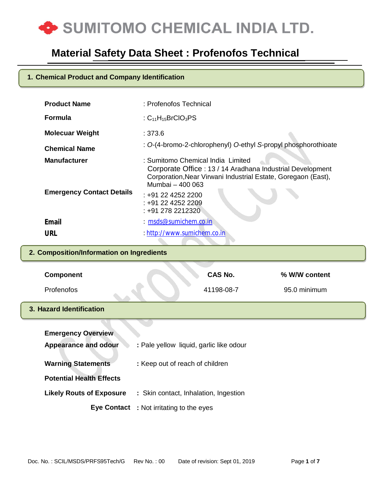

### **1. Chemical Product and Company Identification**

| <b>Product Name</b><br><b>Formula</b> | : Profenofos Technical<br>: $C_{11}H_{15}BrClO_3PS$                                                                                                                                 |
|---------------------------------------|-------------------------------------------------------------------------------------------------------------------------------------------------------------------------------------|
| <b>Molecuar Weight</b>                | : 373.6                                                                                                                                                                             |
| <b>Chemical Name</b>                  | : O-(4-bromo-2-chlorophenyl) O-ethyl S-propyl phosphorothioate                                                                                                                      |
| <b>Manufacturer</b>                   | : Sumitomo Chemical India Limited<br>Corporate Office: 13 / 14 Aradhana Industrial Development<br>Corporation, Near Virwani Industrial Estate, Goregaon (East),<br>Mumbai - 400 063 |
| <b>Emergency Contact Details</b>      | : +91 22 4252 2200<br>: +91 22 4252 2209<br>: +91 278 2212320                                                                                                                       |
| <b>Email</b>                          | $: m$ sds@sumichem.co.in                                                                                                                                                            |
| URL                                   | : http://www.sumichem.co.in                                                                                                                                                         |

### **2. Composition/Information on Ingredients**

| <b>Component</b>                | CAS No.                                 | % W/W content |
|---------------------------------|-----------------------------------------|---------------|
| Profenofos                      | 41198-08-7                              | 95.0 minimum  |
| 3. Hazard Identification        |                                         |               |
|                                 |                                         |               |
| <b>Emergency Overview</b>       |                                         |               |
| <b>Appearance and odour</b>     | : Pale yellow liquid, garlic like odour |               |
| <b>Warning Statements</b>       | : Keep out of reach of children         |               |
| <b>Potential Health Effects</b> |                                         |               |
| <b>Likely Routs of Exposure</b> | : Skin contact, Inhalation, Ingestion   |               |
| <b>Eye Contact</b>              | : Not irritating to the eyes            |               |
|                                 |                                         |               |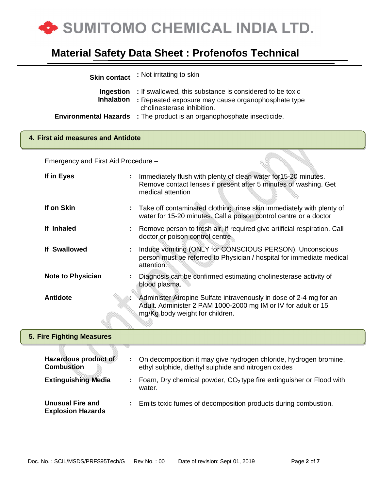

| <b>Skin contact</b>                            | : Not irritating to skin                                                                                                                                               |  |
|------------------------------------------------|------------------------------------------------------------------------------------------------------------------------------------------------------------------------|--|
| Ingestion<br><b>Inhalation</b>                 | : If swallowed, this substance is considered to be toxic<br>: Repeated exposure may cause organophosphate type                                                         |  |
|                                                | cholinesterase inhibition.                                                                                                                                             |  |
| <b>Environmental Hazards</b>                   | : The product is an organophosphate insecticide.                                                                                                                       |  |
| 4. First aid measures and Antidote             |                                                                                                                                                                        |  |
| Emergency and First Aid Procedure -            |                                                                                                                                                                        |  |
| If in Eyes                                     | Immediately flush with plenty of clean water for 15-20 minutes.<br>Remove contact lenses if present after 5 minutes of washing. Get<br>medical attention               |  |
| If on Skin                                     | Take off contaminated clothing, rinse skin immediately with plenty of<br>water for 15-20 minutes. Call a poison control centre or a doctor                             |  |
| If Inhaled                                     | Remove person to fresh air, if required give artificial respiration. Call<br>doctor or poison control centre                                                           |  |
| <b>If Swallowed</b>                            | Induce vomiting (ONLY for CONSCIOUS PERSON). Unconscious<br>person must be referred to Physician / hospital for immediate medical<br>attention.                        |  |
| <b>Note to Physician</b>                       | Diagnosis can be confirmed estimating cholinesterase activity of<br>blood plasma.                                                                                      |  |
| <b>Antidote</b>                                | Administer Atropine Sulfate intravenously in dose of 2-4 mg for an<br>Adult. Administer 2 PAM 1000-2000 mg IM or IV for adult or 15<br>mg/Kg body weight for children. |  |
| <b>5. Fire Fighting Measures</b>               |                                                                                                                                                                        |  |
| Hazardous product of<br>÷<br><b>Combustion</b> | On decomposition it may give hydrogen chloride, hydrogen bromine,<br>ethyl sulphide, diethyl sulphide and nitrogen oxides                                              |  |

**Extinguishing Media** : Foam, Dry chemical powder, CO<sub>2</sub> type fire extinguisher or Flood with

**:** Emits toxic fumes of decomposition products during combustion.

water.

**Unusual Fire and Explosion Hazards**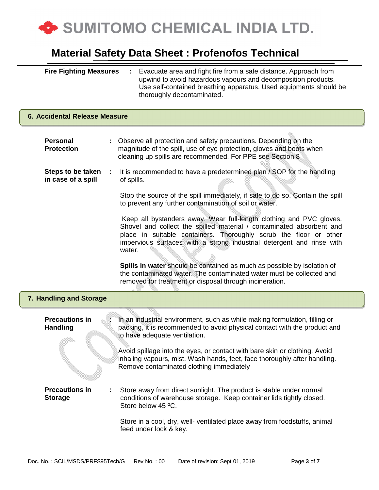

| <b>Fire Fighting Measures</b> | Evacuate area and fight fire from a safe distance. Approach from  |
|-------------------------------|-------------------------------------------------------------------|
|                               | upwind to avoid hazardous vapours and decomposition products.     |
|                               | Use self-contained breathing apparatus. Used equipments should be |
|                               | thoroughly decontaminated.                                        |

| 6. Accidental Release Measure            |  |                                                                                                                                                                                                                                                                                                     |  |  |
|------------------------------------------|--|-----------------------------------------------------------------------------------------------------------------------------------------------------------------------------------------------------------------------------------------------------------------------------------------------------|--|--|
| <b>Personal</b><br><b>Protection</b>     |  | Observe all protection and safety precautions. Depending on the<br>magnitude of the spill, use of eye protection, gloves and boots when<br>cleaning up spills are recommended. For PPE see Section 8                                                                                                |  |  |
| Steps to be taken<br>in case of a spill  |  | It is recommended to have a predetermined plan / SOP for the handling<br>of spills.                                                                                                                                                                                                                 |  |  |
|                                          |  | Stop the source of the spill immediately, if safe to do so. Contain the spill<br>to prevent any further contamination of soil or water.                                                                                                                                                             |  |  |
|                                          |  | Keep all bystanders away. Wear full-length clothing and PVC gloves.<br>Shovel and collect the spilled material / contaminated absorbent and<br>place in suitable containers. Thoroughly scrub the floor or other<br>impervious surfaces with a strong industrial detergent and rinse with<br>water. |  |  |
|                                          |  | Spills in water should be contained as much as possible by isolation of<br>the contaminated water. The contaminated water must be collected and<br>removed for treatment or disposal through incineration.                                                                                          |  |  |
| 7. Handling and Storage                  |  |                                                                                                                                                                                                                                                                                                     |  |  |
| <b>Precautions in</b><br><b>Handling</b> |  | In an industrial environment, such as while making formulation, filling or<br>packing, it is recommended to avoid physical contact with the product and<br>to have adequate ventilation.                                                                                                            |  |  |
|                                          |  | Avoid spillage into the eyes, or contact with bare skin or clothing. Avoid<br>inhaling vapours, mist. Wash hands, feet, face thoroughly after handling.<br>Remove contaminated clothing immediately                                                                                                 |  |  |
| <b>Precautions in</b><br><b>Storage</b>  |  | Store away from direct sunlight. The product is stable under normal<br>conditions of warehouse storage. Keep container lids tightly closed.<br>Store below 45 °C.                                                                                                                                   |  |  |
|                                          |  | Store in a cool, dry, well- ventilated place away from foodstuffs, animal<br>feed under lock & key.                                                                                                                                                                                                 |  |  |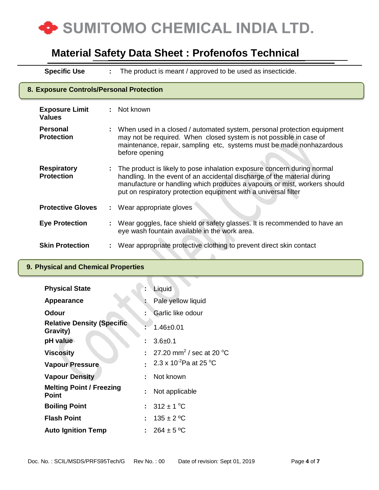

**Specific Use :** The product is meant / approved to be used as insecticide.

| 8. Exposure Controls/Personal Protection |  |                                                                                                                                                                                                                                                                                                    |  |  |
|------------------------------------------|--|----------------------------------------------------------------------------------------------------------------------------------------------------------------------------------------------------------------------------------------------------------------------------------------------------|--|--|
| <b>Exposure Limit</b><br><b>Values</b>   |  | : Not known                                                                                                                                                                                                                                                                                        |  |  |
| Personal<br><b>Protection</b>            |  | When used in a closed / automated system, personal protection equipment<br>may not be required. When closed system is not possible in case of<br>maintenance, repair, sampling etc, systems must be made nonhazardous<br>before opening                                                            |  |  |
| <b>Respiratory</b><br><b>Protection</b>  |  | The product is likely to pose inhalation exposure concern during normal<br>handling. In the event of an accidental discharge of the material during<br>manufacture or handling which produces a vapours or mist, workers should<br>put on respiratory protection equipment with a universal filter |  |  |
| <b>Protective Gloves</b>                 |  | : Wear appropriate gloves                                                                                                                                                                                                                                                                          |  |  |
| <b>Eye Protection</b>                    |  | Wear goggles, face shield or safety glasses. It is recommended to have an<br>eye wash fountain available in the work area.                                                                                                                                                                         |  |  |
| <b>Skin Protection</b>                   |  | Wear appropriate protective clothing to prevent direct skin contact                                                                                                                                                                                                                                |  |  |

### **9. Physical and Chemical Properties**

| <b>Physical State</b>                           |    | Liquid                                           |
|-------------------------------------------------|----|--------------------------------------------------|
| Appearance                                      |    | Pale yellow liquid                               |
| Odour                                           | ÷. | Garlic like odour                                |
| <b>Relative Density (Specific</b><br>Gravity)   |    | $1.46 + 0.01$                                    |
| pH value                                        | ÷. | $3.6 + 0.1$                                      |
| <b>Viscosity</b>                                |    | : 27.20 mm <sup>2</sup> / sec at 20 $^{\circ}$ C |
| <b>Vapour Pressure</b>                          |    | 2.3 x 10 <sup>-2</sup> Pa at 25 °C               |
| <b>Vapour Density</b>                           | ÷. | Not known                                        |
| <b>Melting Point / Freezing</b><br><b>Point</b> | t. | Not applicable                                   |
| <b>Boiling Point</b>                            |    | : $312 \pm 1$ °C                                 |
| <b>Flash Point</b>                              |    | : $135 \pm 2$ °C                                 |
| <b>Auto Ignition Temp</b>                       |    | $264 \pm 5 \degree C$                            |

▓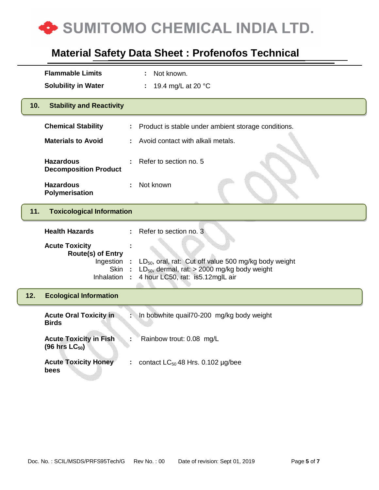

|     | <b>Flammable Limits</b>                                                                     |    | Not known.<br>÷                                                                                                                                     |
|-----|---------------------------------------------------------------------------------------------|----|-----------------------------------------------------------------------------------------------------------------------------------------------------|
|     | <b>Solubility in Water</b>                                                                  |    | 19.4 mg/L at 20 °C                                                                                                                                  |
| 10. | <b>Stability and Reactivity</b>                                                             |    |                                                                                                                                                     |
|     | <b>Chemical Stability</b>                                                                   | ÷. | Product is stable under ambient storage conditions.                                                                                                 |
|     | <b>Materials to Avoid</b>                                                                   |    | Avoid contact with alkali metals.                                                                                                                   |
|     | <b>Hazardous</b><br><b>Decomposition Product</b>                                            |    | Refer to section no. 5                                                                                                                              |
|     | <b>Hazardous</b><br>Polymerisation                                                          |    | Not known                                                                                                                                           |
| 11. | <b>Toxicological Information</b>                                                            |    |                                                                                                                                                     |
|     |                                                                                             |    | Refer to section no. 3                                                                                                                              |
|     | <b>Health Hazards</b>                                                                       | ÷  |                                                                                                                                                     |
|     | <b>Acute Toxicity</b><br><b>Route(s) of Entry</b><br>Ingestion<br><b>Skin</b><br>Inhalation |    | $LD_{50}$ , oral, rat: Cut off value 500 mg/kg body weight<br>$LD_{50}$ , dermal, rat: > 2000 mg/kg body weight<br>4 hour LC50, rat: is5.12mglL air |
| 12. | <b>Ecological Information</b>                                                               |    |                                                                                                                                                     |
|     | <b>Acute Oral Toxicity in</b><br><b>Birds</b>                                               |    | In bobwhite quail70-200 mg/kg body weight                                                                                                           |
|     | <b>Acute Toxicity in Fish</b><br>$(96 \text{ hrs} \text{ LC}_{50})$                         |    | Rainbow trout: 0.08 mg/L                                                                                                                            |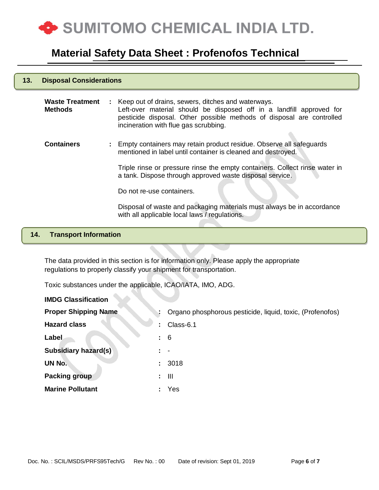

#### **13. Disposal Considerations**

| <b>Waste Treatment</b><br><b>Methods</b> | : Keep out of drains, sewers, ditches and waterways.<br>Left-over material should be disposed off in a landfill approved for<br>pesticide disposal. Other possible methods of disposal are controlled<br>incineration with flue gas scrubbing. |
|------------------------------------------|------------------------------------------------------------------------------------------------------------------------------------------------------------------------------------------------------------------------------------------------|
| <b>Containers</b>                        | : Empty containers may retain product residue. Observe all safeguards<br>mentioned in label until container is cleaned and destroyed.                                                                                                          |
|                                          | Triple rinse or pressure rinse the empty containers. Collect rinse water in<br>a tank. Dispose through approved waste disposal service.                                                                                                        |
|                                          | Do not re-use containers.                                                                                                                                                                                                                      |
|                                          | Disposal of waste and packaging materials must always be in accordance<br>with all applicable local laws / regulations.                                                                                                                        |

#### **14. Transport Information**

The data provided in this section is for information only. Please apply the appropriate regulations to properly classify your shipment for transportation.

Toxic substances under the applicable, ICAO/IATA, IMO, ADG.

| <b>IMDG Classification</b>  |                 |                                                           |  |  |
|-----------------------------|-----------------|-----------------------------------------------------------|--|--|
| <b>Proper Shipping Name</b> |                 | Organo phosphorous pesticide, liquid, toxic, (Profenofos) |  |  |
| <b>Hazard class</b>         | ÷               | Class-6.1                                                 |  |  |
| Label                       | $\frac{1}{2}$ 6 |                                                           |  |  |
| <b>Subsidiary hazard(s)</b> |                 |                                                           |  |  |
| UN No.                      | $\mathbb{R}^n$  | 3018                                                      |  |  |
| <b>Packing group</b>        | ÷.              | - III                                                     |  |  |
| <b>Marine Pollutant</b>     |                 | Yes                                                       |  |  |